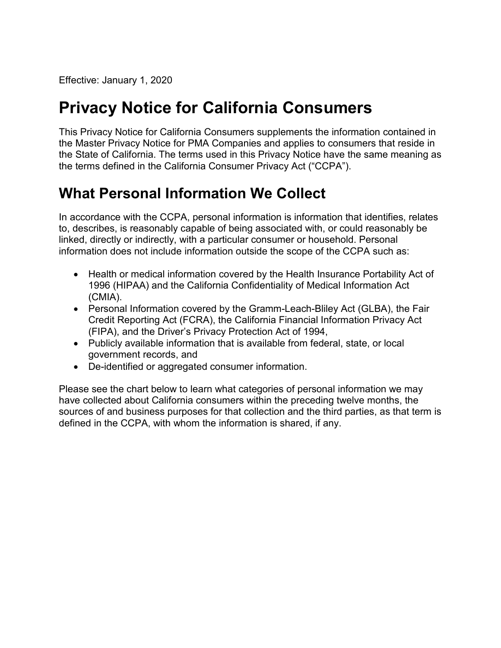Effective: January 1, 2020

# **Privacy Notice for California Consumers**

This Privacy Notice for California Consumers supplements the information contained in the Master Privacy Notice for PMA Companies and applies to consumers that reside in the State of California. The terms used in this Privacy Notice have the same meaning as the terms defined in the California Consumer Privacy Act ("CCPA").

### **What Personal Information We Collect**

In accordance with the CCPA, personal information is information that identifies, relates to, describes, is reasonably capable of being associated with, or could reasonably be linked, directly or indirectly, with a particular consumer or household. Personal information does not include information outside the scope of the CCPA such as:

- Health or medical information covered by the Health Insurance Portability Act of 1996 (HIPAA) and the California Confidentiality of Medical Information Act (CMIA).
- Personal Information covered by the Gramm-Leach-Bliley Act (GLBA), the Fair Credit Reporting Act (FCRA), the California Financial Information Privacy Act (FIPA), and the Driver's Privacy Protection Act of 1994,
- Publicly available information that is available from federal, state, or local government records, and
- De-identified or aggregated consumer information.

Please see the chart below to learn what categories of personal information we may have collected about California consumers within the preceding twelve months, the sources of and business purposes for that collection and the third parties, as that term is defined in the CCPA, with whom the information is shared, if any.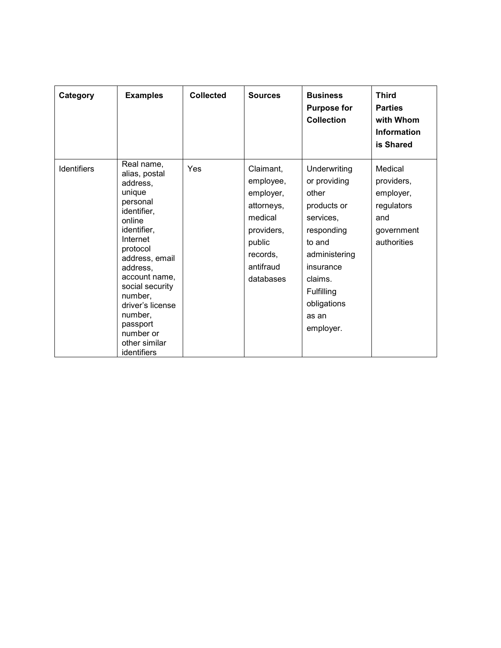| Category           | <b>Examples</b>                                                                                                                                                                                                                                                                                    | <b>Collected</b> | <b>Sources</b>                                                                                                             | <b>Business</b><br><b>Purpose for</b><br><b>Collection</b>                                                                                                                            | <b>Third</b><br><b>Parties</b><br>with Whom<br><b>Information</b><br>is Shared       |
|--------------------|----------------------------------------------------------------------------------------------------------------------------------------------------------------------------------------------------------------------------------------------------------------------------------------------------|------------------|----------------------------------------------------------------------------------------------------------------------------|---------------------------------------------------------------------------------------------------------------------------------------------------------------------------------------|--------------------------------------------------------------------------------------|
| <b>Identifiers</b> | Real name,<br>alias, postal<br>address,<br>unique<br>personal<br>identifier,<br>online<br>identifier,<br>Internet<br>protocol<br>address, email<br>address,<br>account name,<br>social security<br>number.<br>driver's license<br>number,<br>passport<br>number or<br>other similar<br>identifiers | Yes              | Claimant,<br>employee,<br>employer,<br>attorneys,<br>medical<br>providers,<br>public<br>records,<br>antifraud<br>databases | Underwriting<br>or providing<br>other<br>products or<br>services,<br>responding<br>to and<br>administering<br>insurance<br>claims.<br>Fulfilling<br>obligations<br>as an<br>employer. | Medical<br>providers,<br>employer,<br>regulators<br>and<br>government<br>authorities |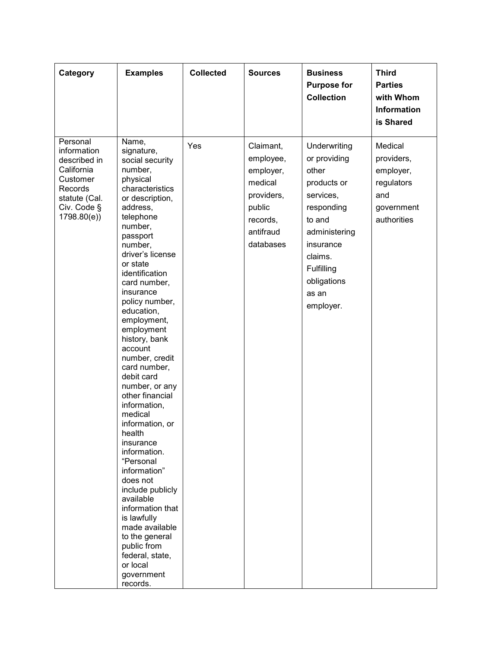| Category                                                                                                                   | <b>Examples</b>                                                                                                                                                                                                                                                                                                                                                                                                                                                                                                                                                                                                                                                                                                                           | <b>Collected</b> | <b>Sources</b>                                                                                               | <b>Business</b><br><b>Purpose for</b><br><b>Collection</b>                                                                                                                            | <b>Third</b><br><b>Parties</b><br>with Whom<br><b>Information</b><br>is Shared       |
|----------------------------------------------------------------------------------------------------------------------------|-------------------------------------------------------------------------------------------------------------------------------------------------------------------------------------------------------------------------------------------------------------------------------------------------------------------------------------------------------------------------------------------------------------------------------------------------------------------------------------------------------------------------------------------------------------------------------------------------------------------------------------------------------------------------------------------------------------------------------------------|------------------|--------------------------------------------------------------------------------------------------------------|---------------------------------------------------------------------------------------------------------------------------------------------------------------------------------------|--------------------------------------------------------------------------------------|
| Personal<br>information<br>described in<br>California<br>Customer<br>Records<br>statute (Cal.<br>Civ. Code §<br>1798.80(e) | Name,<br>signature,<br>social security<br>number,<br>physical<br>characteristics<br>or description,<br>address,<br>telephone<br>number,<br>passport<br>number,<br>driver's license<br>or state<br>identification<br>card number,<br>insurance<br>policy number,<br>education,<br>employment,<br>employment<br>history, bank<br>account<br>number, credit<br>card number,<br>debit card<br>number, or any<br>other financial<br>information,<br>medical<br>information, or<br>health<br>insurance<br>information.<br>"Personal<br>information"<br>does not<br>include publicly<br>available<br>information that<br>is lawfully<br>made available<br>to the general<br>public from<br>federal, state,<br>or local<br>government<br>records. | Yes              | Claimant,<br>employee,<br>employer,<br>medical<br>providers,<br>public<br>records,<br>antifraud<br>databases | Underwriting<br>or providing<br>other<br>products or<br>services,<br>responding<br>to and<br>administering<br>insurance<br>claims.<br>Fulfilling<br>obligations<br>as an<br>employer. | Medical<br>providers,<br>employer,<br>regulators<br>and<br>government<br>authorities |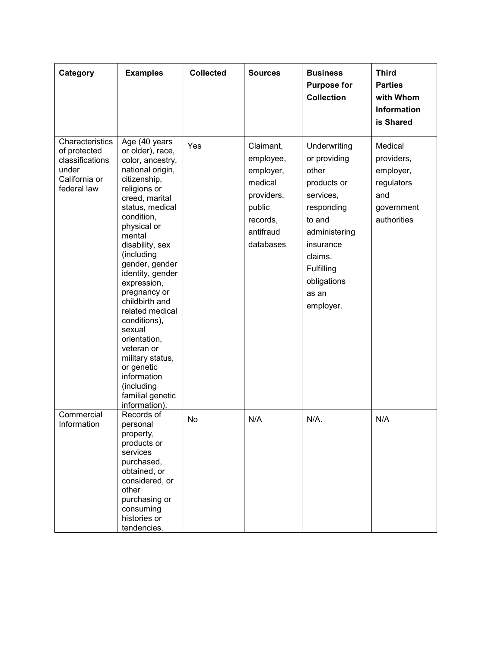| Category                                                                                    | <b>Examples</b>                                                                                                                                                                                                                                                                                                                                                                                                                                                                              | <b>Collected</b> | <b>Sources</b>                                                                                               | <b>Business</b><br><b>Purpose for</b><br><b>Collection</b>                                                                                                                            | <b>Third</b><br><b>Parties</b><br>with Whom<br><b>Information</b><br>is Shared       |
|---------------------------------------------------------------------------------------------|----------------------------------------------------------------------------------------------------------------------------------------------------------------------------------------------------------------------------------------------------------------------------------------------------------------------------------------------------------------------------------------------------------------------------------------------------------------------------------------------|------------------|--------------------------------------------------------------------------------------------------------------|---------------------------------------------------------------------------------------------------------------------------------------------------------------------------------------|--------------------------------------------------------------------------------------|
| Characteristics<br>of protected<br>classifications<br>under<br>California or<br>federal law | Age (40 years<br>or older), race,<br>color, ancestry,<br>national origin,<br>citizenship,<br>religions or<br>creed, marital<br>status, medical<br>condition,<br>physical or<br>mental<br>disability, sex<br>(including<br>gender, gender<br>identity, gender<br>expression,<br>pregnancy or<br>childbirth and<br>related medical<br>conditions),<br>sexual<br>orientation,<br>veteran or<br>military status,<br>or genetic<br>information<br>(including<br>familial genetic<br>information). | Yes              | Claimant,<br>employee,<br>employer,<br>medical<br>providers,<br>public<br>records,<br>antifraud<br>databases | Underwriting<br>or providing<br>other<br>products or<br>services,<br>responding<br>to and<br>administering<br>insurance<br>claims.<br>Fulfilling<br>obligations<br>as an<br>employer. | Medical<br>providers,<br>employer,<br>regulators<br>and<br>government<br>authorities |
| Commercial<br>Information                                                                   | Records of<br>personal<br>property,<br>products or<br>services<br>purchased,<br>obtained, or<br>considered, or<br>other<br>purchasing or<br>consuming<br>histories or<br>tendencies.                                                                                                                                                                                                                                                                                                         | No               | N/A                                                                                                          | N/A.                                                                                                                                                                                  | N/A                                                                                  |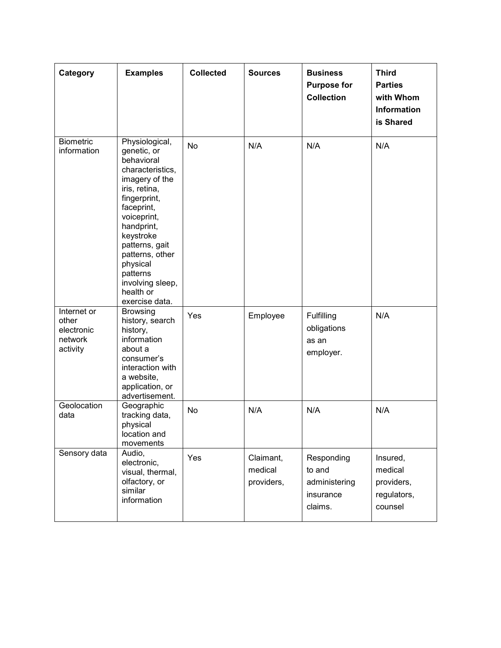| Category                                                  | <b>Examples</b>                                                                                                                                                                                                                                                                            | <b>Collected</b> | <b>Sources</b>                     | <b>Business</b><br><b>Purpose for</b><br><b>Collection</b>    | <b>Third</b><br><b>Parties</b><br>with Whom<br><b>Information</b><br>is Shared |
|-----------------------------------------------------------|--------------------------------------------------------------------------------------------------------------------------------------------------------------------------------------------------------------------------------------------------------------------------------------------|------------------|------------------------------------|---------------------------------------------------------------|--------------------------------------------------------------------------------|
| <b>Biometric</b><br>information                           | Physiological,<br>genetic, or<br>behavioral<br>characteristics,<br>imagery of the<br>iris, retina,<br>fingerprint,<br>faceprint,<br>voiceprint,<br>handprint,<br>keystroke<br>patterns, gait<br>patterns, other<br>physical<br>patterns<br>involving sleep,<br>health or<br>exercise data. | No               | N/A                                | N/A                                                           | N/A                                                                            |
| Internet or<br>other<br>electronic<br>network<br>activity | <b>Browsing</b><br>history, search<br>history,<br>information<br>about a<br>consumer's<br>interaction with<br>a website,<br>application, or<br>advertisement.                                                                                                                              | Yes              | Employee                           | Fulfilling<br>obligations<br>as an<br>employer.               | N/A                                                                            |
| Geolocation<br>data                                       | Geographic<br>tracking data,<br>physical<br>location and<br>movements                                                                                                                                                                                                                      | No               | N/A                                | N/A                                                           | N/A                                                                            |
| Sensory data                                              | Audio,<br>electronic,<br>visual, thermal,<br>olfactory, or<br>similar<br>information                                                                                                                                                                                                       | Yes              | Claimant,<br>medical<br>providers, | Responding<br>to and<br>administering<br>insurance<br>claims. | Insured,<br>medical<br>providers,<br>regulators,<br>counsel                    |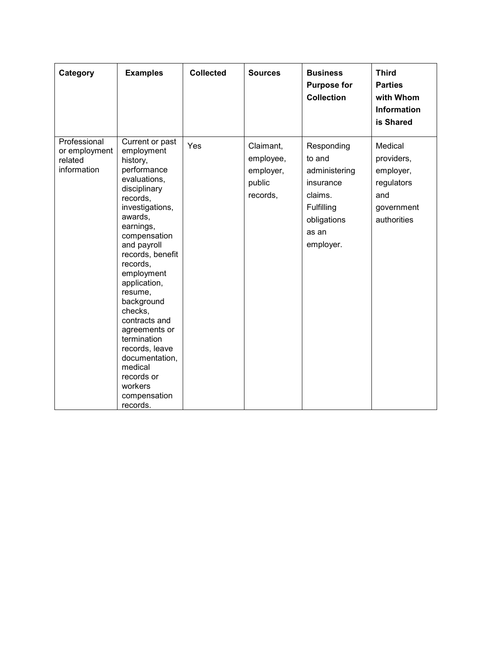| Category                                                | <b>Examples</b>                                                                                                                                                                                                                                                                                                                                                                                                                       | <b>Collected</b> | <b>Sources</b>                                            | <b>Business</b><br><b>Purpose for</b><br><b>Collection</b>                                                       | <b>Third</b><br><b>Parties</b><br>with Whom<br><b>Information</b><br>is Shared       |
|---------------------------------------------------------|---------------------------------------------------------------------------------------------------------------------------------------------------------------------------------------------------------------------------------------------------------------------------------------------------------------------------------------------------------------------------------------------------------------------------------------|------------------|-----------------------------------------------------------|------------------------------------------------------------------------------------------------------------------|--------------------------------------------------------------------------------------|
| Professional<br>or employment<br>related<br>information | Current or past<br>employment<br>history,<br>performance<br>evaluations,<br>disciplinary<br>records,<br>investigations,<br>awards,<br>earnings,<br>compensation<br>and payroll<br>records, benefit<br>records,<br>employment<br>application,<br>resume,<br>background<br>checks,<br>contracts and<br>agreements or<br>termination<br>records, leave<br>documentation,<br>medical<br>records or<br>workers<br>compensation<br>records. | Yes              | Claimant,<br>employee,<br>employer,<br>public<br>records, | Responding<br>to and<br>administering<br>insurance<br>claims.<br>Fulfilling<br>obligations<br>as an<br>employer. | Medical<br>providers,<br>employer,<br>regulators<br>and<br>government<br>authorities |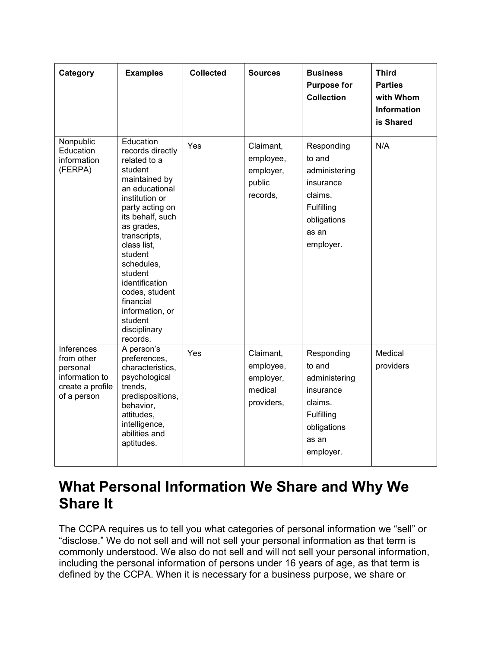| Category                                                                                  | <b>Examples</b>                                                                                                                                                                                                                                                                                                                                  | <b>Collected</b> | <b>Sources</b>                                               | <b>Business</b><br><b>Purpose for</b><br><b>Collection</b>                                                              | <b>Third</b><br><b>Parties</b><br>with Whom<br><b>Information</b><br>is Shared |
|-------------------------------------------------------------------------------------------|--------------------------------------------------------------------------------------------------------------------------------------------------------------------------------------------------------------------------------------------------------------------------------------------------------------------------------------------------|------------------|--------------------------------------------------------------|-------------------------------------------------------------------------------------------------------------------------|--------------------------------------------------------------------------------|
| Nonpublic<br>Education<br>information<br>(FERPA)                                          | Education<br>records directly<br>related to a<br>student<br>maintained by<br>an educational<br>institution or<br>party acting on<br>its behalf, such<br>as grades,<br>transcripts,<br>class list,<br>student<br>schedules,<br>student<br>identification<br>codes, student<br>financial<br>information, or<br>student<br>disciplinary<br>records. | Yes              | Claimant,<br>employee,<br>employer,<br>public<br>records,    | Responding<br>to and<br>administering<br>insurance<br>claims.<br>Fulfilling<br>obligations<br>as an<br>employer.        | N/A                                                                            |
| Inferences<br>from other<br>personal<br>information to<br>create a profile<br>of a person | A person's<br>preferences,<br>characteristics,<br>psychological<br>trends,<br>predispositions,<br>behavior,<br>attitudes,<br>intelligence,<br>abilities and<br>aptitudes.                                                                                                                                                                        | Yes              | Claimant,<br>employee,<br>employer,<br>medical<br>providers, | Responding<br>to and<br>administering<br>insurance<br>claims.<br><b>Fulfilling</b><br>obligations<br>as an<br>employer. | Medical<br>providers                                                           |

#### **What Personal Information We Share and Why We Share It**

The CCPA requires us to tell you what categories of personal information we "sell" or "disclose." We do not sell and will not sell your personal information as that term is commonly understood. We also do not sell and will not sell your personal information, including the personal information of persons under 16 years of age, as that term is defined by the CCPA. When it is necessary for a business purpose, we share or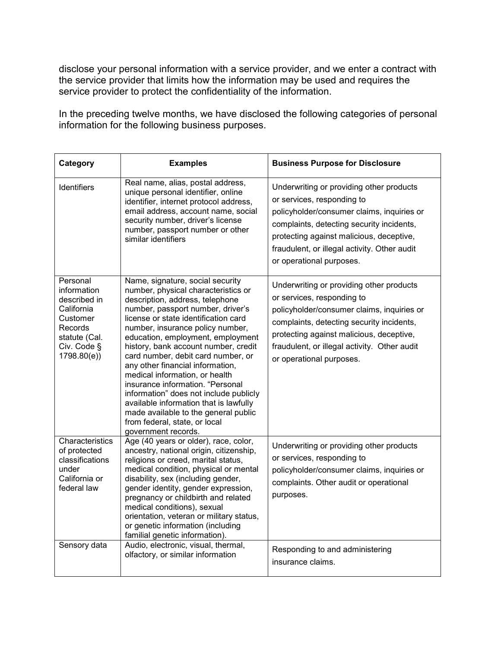disclose your personal information with a service provider, and we enter a contract with the service provider that limits how the information may be used and requires the service provider to protect the confidentiality of the information.

In the preceding twelve months, we have disclosed the following categories of personal information for the following business purposes.

| Category                                                                                                                    | <b>Examples</b>                                                                                                                                                                                                                                                                                                                                                                                                                                                                                                                                                                                                                              | <b>Business Purpose for Disclosure</b>                                                                                                                                                                                                                                                    |
|-----------------------------------------------------------------------------------------------------------------------------|----------------------------------------------------------------------------------------------------------------------------------------------------------------------------------------------------------------------------------------------------------------------------------------------------------------------------------------------------------------------------------------------------------------------------------------------------------------------------------------------------------------------------------------------------------------------------------------------------------------------------------------------|-------------------------------------------------------------------------------------------------------------------------------------------------------------------------------------------------------------------------------------------------------------------------------------------|
| <b>Identifiers</b>                                                                                                          | Real name, alias, postal address,<br>unique personal identifier, online<br>identifier, internet protocol address,<br>email address, account name, social<br>security number, driver's license<br>number, passport number or other<br>similar identifiers                                                                                                                                                                                                                                                                                                                                                                                     | Underwriting or providing other products<br>or services, responding to<br>policyholder/consumer claims, inquiries or<br>complaints, detecting security incidents,<br>protecting against malicious, deceptive,<br>fraudulent, or illegal activity. Other audit<br>or operational purposes. |
| Personal<br>information<br>described in<br>California<br>Customer<br>Records<br>statute (Cal.<br>Civ. Code §<br>1798.80(e)) | Name, signature, social security<br>number, physical characteristics or<br>description, address, telephone<br>number, passport number, driver's<br>license or state identification card<br>number, insurance policy number,<br>education, employment, employment<br>history, bank account number, credit<br>card number, debit card number, or<br>any other financial information,<br>medical information, or health<br>insurance information. "Personal<br>information" does not include publicly<br>available information that is lawfully<br>made available to the general public<br>from federal, state, or local<br>government records. | Underwriting or providing other products<br>or services, responding to<br>policyholder/consumer claims, inquiries or<br>complaints, detecting security incidents,<br>protecting against malicious, deceptive,<br>fraudulent, or illegal activity. Other audit<br>or operational purposes. |
| Characteristics<br>of protected<br>classifications<br>under<br>California or<br>federal law                                 | Age (40 years or older), race, color,<br>ancestry, national origin, citizenship,<br>religions or creed, marital status,<br>medical condition, physical or mental<br>disability, sex (including gender,<br>gender identity, gender expression,<br>pregnancy or childbirth and related<br>medical conditions), sexual<br>orientation, veteran or military status,<br>or genetic information (including<br>familial genetic information).                                                                                                                                                                                                       | Underwriting or providing other products<br>or services, responding to<br>policyholder/consumer claims, inquiries or<br>complaints. Other audit or operational<br>purposes.                                                                                                               |
| Sensory data                                                                                                                | Audio, electronic, visual, thermal,<br>olfactory, or similar information                                                                                                                                                                                                                                                                                                                                                                                                                                                                                                                                                                     | Responding to and administering<br>insurance claims.                                                                                                                                                                                                                                      |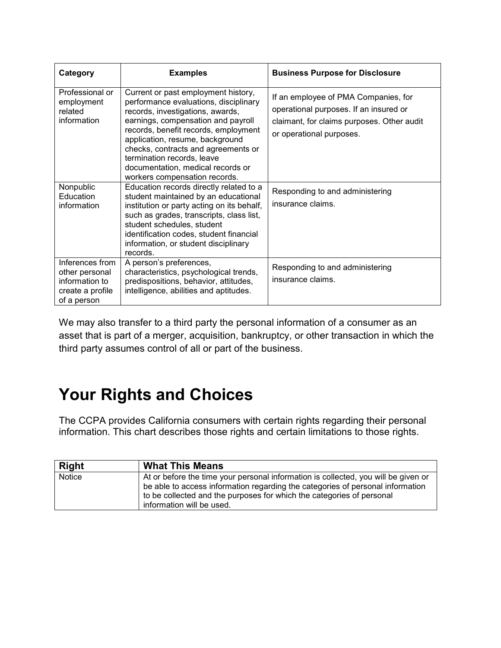| Category                                                                               | <b>Examples</b>                                                                                                                                                                                                                                                                                                                                                              | <b>Business Purpose for Disclosure</b>                                                                                                                   |
|----------------------------------------------------------------------------------------|------------------------------------------------------------------------------------------------------------------------------------------------------------------------------------------------------------------------------------------------------------------------------------------------------------------------------------------------------------------------------|----------------------------------------------------------------------------------------------------------------------------------------------------------|
| Professional or<br>employment<br>related<br>information                                | Current or past employment history,<br>performance evaluations, disciplinary<br>records, investigations, awards,<br>earnings, compensation and payroll<br>records, benefit records, employment<br>application, resume, background<br>checks, contracts and agreements or<br>termination records, leave<br>documentation, medical records or<br>workers compensation records. | If an employee of PMA Companies, for<br>operational purposes. If an insured or<br>claimant, for claims purposes. Other audit<br>or operational purposes. |
| Nonpublic<br>Education<br>information                                                  | Education records directly related to a<br>student maintained by an educational<br>institution or party acting on its behalf,<br>such as grades, transcripts, class list,<br>student schedules, student<br>identification codes, student financial<br>information, or student disciplinary<br>records.                                                                       | Responding to and administering<br>insurance claims.                                                                                                     |
| Inferences from<br>other personal<br>information to<br>create a profile<br>of a person | A person's preferences,<br>characteristics, psychological trends,<br>predispositions, behavior, attitudes,<br>intelligence, abilities and aptitudes.                                                                                                                                                                                                                         | Responding to and administering<br>insurance claims.                                                                                                     |

We may also transfer to a third party the personal information of a consumer as an asset that is part of a merger, acquisition, bankruptcy, or other transaction in which the third party assumes control of all or part of the business.

# **Your Rights and Choices**

The CCPA provides California consumers with certain rights regarding their personal information. This chart describes those rights and certain limitations to those rights.

| <b>Right</b>  | <b>What This Means</b>                                                                                                                                                                                                                                                     |
|---------------|----------------------------------------------------------------------------------------------------------------------------------------------------------------------------------------------------------------------------------------------------------------------------|
| <b>Notice</b> | At or before the time your personal information is collected, you will be given or<br>be able to access information regarding the categories of personal information<br>to be collected and the purposes for which the categories of personal<br>information will be used. |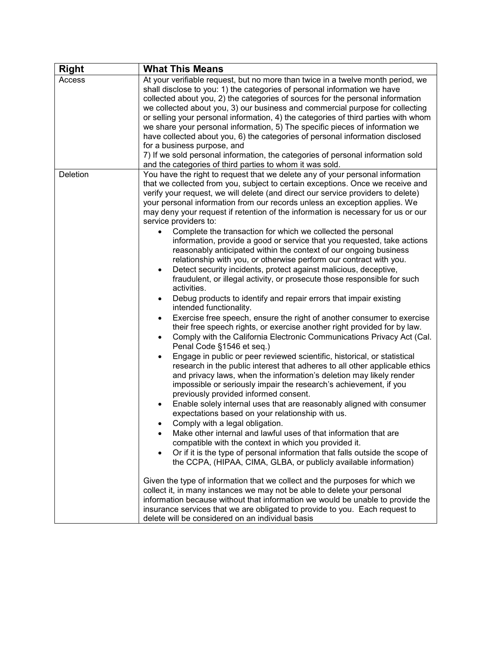| <b>Right</b> | <b>What This Means</b>                                                                                    |  |  |  |
|--------------|-----------------------------------------------------------------------------------------------------------|--|--|--|
| Access       | At your verifiable request, but no more than twice in a twelve month period, we                           |  |  |  |
|              | shall disclose to you: 1) the categories of personal information we have                                  |  |  |  |
|              | collected about you, 2) the categories of sources for the personal information                            |  |  |  |
|              | we collected about you, 3) our business and commercial purpose for collecting                             |  |  |  |
|              | or selling your personal information, 4) the categories of third parties with whom                        |  |  |  |
|              | we share your personal information, 5) The specific pieces of information we                              |  |  |  |
|              | have collected about you, 6) the categories of personal information disclosed                             |  |  |  |
|              | for a business purpose, and                                                                               |  |  |  |
|              | 7) If we sold personal information, the categories of personal information sold                           |  |  |  |
|              | and the categories of third parties to whom it was sold.                                                  |  |  |  |
| Deletion     | You have the right to request that we delete any of your personal information                             |  |  |  |
|              | that we collected from you, subject to certain exceptions. Once we receive and                            |  |  |  |
|              | verify your request, we will delete (and direct our service providers to delete)                          |  |  |  |
|              | your personal information from our records unless an exception applies. We                                |  |  |  |
|              | may deny your request if retention of the information is necessary for us or our                          |  |  |  |
|              | service providers to:                                                                                     |  |  |  |
|              | Complete the transaction for which we collected the personal                                              |  |  |  |
|              | information, provide a good or service that you requested, take actions                                   |  |  |  |
|              | reasonably anticipated within the context of our ongoing business                                         |  |  |  |
|              | relationship with you, or otherwise perform our contract with you.                                        |  |  |  |
|              | Detect security incidents, protect against malicious, deceptive,<br>$\bullet$                             |  |  |  |
|              | fraudulent, or illegal activity, or prosecute those responsible for such                                  |  |  |  |
|              | activities.                                                                                               |  |  |  |
|              | Debug products to identify and repair errors that impair existing<br>$\bullet$<br>intended functionality. |  |  |  |
|              | Exercise free speech, ensure the right of another consumer to exercise<br>$\bullet$                       |  |  |  |
|              | their free speech rights, or exercise another right provided for by law.                                  |  |  |  |
|              | Comply with the California Electronic Communications Privacy Act (Cal.<br>$\bullet$                       |  |  |  |
|              | Penal Code §1546 et seq.)                                                                                 |  |  |  |
|              | Engage in public or peer reviewed scientific, historical, or statistical<br>$\bullet$                     |  |  |  |
|              | research in the public interest that adheres to all other applicable ethics                               |  |  |  |
|              | and privacy laws, when the information's deletion may likely render                                       |  |  |  |
|              | impossible or seriously impair the research's achievement, if you                                         |  |  |  |
|              | previously provided informed consent.                                                                     |  |  |  |
|              | Enable solely internal uses that are reasonably aligned with consumer<br>$\bullet$                        |  |  |  |
|              | expectations based on your relationship with us.                                                          |  |  |  |
|              | Comply with a legal obligation.                                                                           |  |  |  |
|              | Make other internal and lawful uses of that information that are                                          |  |  |  |
|              | compatible with the context in which you provided it.                                                     |  |  |  |
|              | Or if it is the type of personal information that falls outside the scope of                              |  |  |  |
|              | the CCPA, (HIPAA, CIMA, GLBA, or publicly available information)                                          |  |  |  |
|              | Given the type of information that we collect and the purposes for which we                               |  |  |  |
|              | collect it, in many instances we may not be able to delete your personal                                  |  |  |  |
|              | information because without that information we would be unable to provide the                            |  |  |  |
|              | insurance services that we are obligated to provide to you. Each request to                               |  |  |  |
|              | delete will be considered on an individual basis                                                          |  |  |  |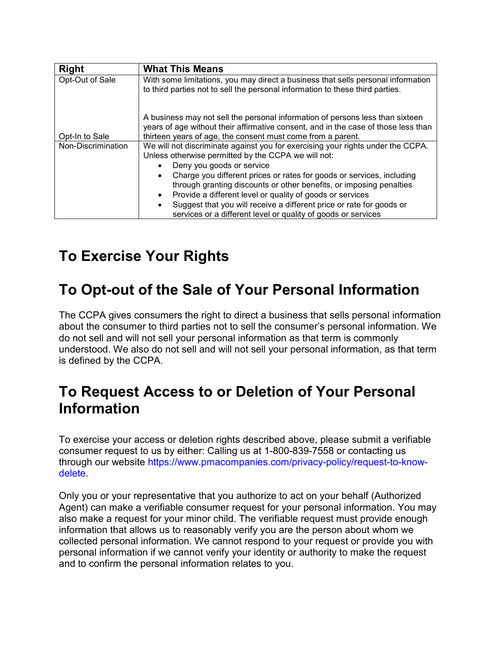| <b>Right</b>       | <b>What This Means</b>                                                                                                                                                                                                                                                                                                                                                                                                                                                                                                                                           |
|--------------------|------------------------------------------------------------------------------------------------------------------------------------------------------------------------------------------------------------------------------------------------------------------------------------------------------------------------------------------------------------------------------------------------------------------------------------------------------------------------------------------------------------------------------------------------------------------|
| Opt-Out of Sale    | With some limitations, you may direct a business that sells personal information<br>to third parties not to sell the personal information to these third parties.                                                                                                                                                                                                                                                                                                                                                                                                |
| Opt-In to Sale     | A business may not sell the personal information of persons less than sixteen<br>years of age without their affirmative consent, and in the case of those less than<br>thirteen years of age, the consent must come from a parent.                                                                                                                                                                                                                                                                                                                               |
| Non-Discrimination | We will not discriminate against you for exercising your rights under the CCPA.<br>Unless otherwise permitted by the CCPA we will not:<br>Deny you goods or service<br>Charge you different prices or rates for goods or services, including<br>$\bullet$<br>through granting discounts or other benefits, or imposing penalties<br>Provide a different level or quality of goods or services<br>$\bullet$<br>Suggest that you will receive a different price or rate for goods or<br>$\bullet$<br>services or a different level or quality of goods or services |

## **To Exercise Your Rights**

### **To Opt-out of the Sale of Your Personal Information**

The CCPA gives consumers the right to direct a business that sells personal information about the consumer to third parties not to sell the consumer's personal information. We do not sell and will not sell your personal information as that term is commonly understood. We also do not sell and will not sell your personal information, as that term is defined by the CCPA.

#### **To Request Access to or Deletion of Your Personal Information**

To exercise your access or deletion rights described above, please submit a verifiable consumer request to us by either: Calling us at 1-800-839-7558 or contacting us through our website [https://www.pmacompanies.com/privacy-policy/request-to-know](https://www.pmacompanies.com/privacy-policy/request-to-know-delete)[delete.](https://www.pmacompanies.com/privacy-policy/request-to-know-delete)

Only you or your representative that you authorize to act on your behalf (Authorized Agent) can make a verifiable consumer request for your personal information. You may also make a request for your minor child. The verifiable request must provide enough information that allows us to reasonably verify you are the person about whom we collected personal information. We cannot respond to your request or provide you with personal information if we cannot verify your identity or authority to make the request and to confirm the personal information relates to you.